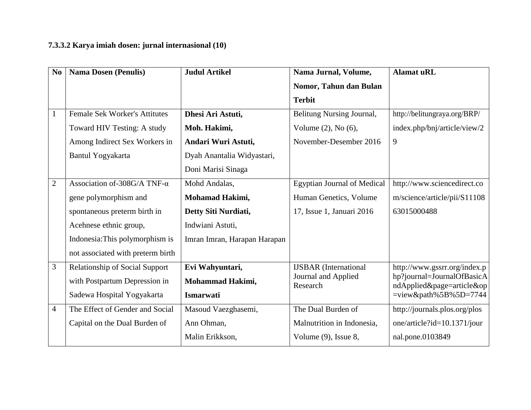## **7.3.3.2 Karya imiah dosen: jurnal internasional (10)**

| N <sub>o</sub> | <b>Nama Dosen (Penulis)</b>           | <b>Judul Artikel</b>         | Nama Jurnal, Volume,               | <b>Alamat uRL</b>                                       |
|----------------|---------------------------------------|------------------------------|------------------------------------|---------------------------------------------------------|
|                |                                       |                              | Nomor, Tahun dan Bulan             |                                                         |
|                |                                       |                              | <b>Terbit</b>                      |                                                         |
| $\mathbf{1}$   | <b>Female Sek Worker's Attitutes</b>  | Dhesi Ari Astuti,            | Belitung Nursing Journal,          | http://belitungraya.org/BRP/                            |
|                | Toward HIV Testing: A study           | Moh. Hakimi,                 | Volume $(2)$ , No $(6)$ ,          | index.php/bnj/article/view/2                            |
|                | Among Indirect Sex Workers in         | Andari Wuri Astuti,          | November-Desember 2016             | 9                                                       |
|                | Bantul Yogyakarta                     | Dyah Anantalia Widyastari,   |                                    |                                                         |
|                |                                       | Doni Marisi Sinaga           |                                    |                                                         |
| $\overline{2}$ | Association of-308G/A TNF- $\alpha$   | Mohd Andalas,                | <b>Egyptian Journal of Medical</b> | http://www.sciencedirect.co                             |
|                | gene polymorphism and                 | Mohamad Hakimi,              | Human Genetics, Volume             | m/science/article/pii/S11108                            |
|                | spontaneous preterm birth in          | Detty Siti Nurdiati,         | 17, Issue 1, Januari 2016          | 63015000488                                             |
|                | Acehnese ethnic group,                | Indwiani Astuti,             |                                    |                                                         |
|                | Indonesia: This polymorphism is       | Imran Imran, Harapan Harapan |                                    |                                                         |
|                | not associated with preterm birth     |                              |                                    |                                                         |
| 3              | <b>Relationship of Social Support</b> | Evi Wahyuntari,              | <b>IJSBAR</b> (International       | http://www.gssrr.org/index.p                            |
|                | with Postpartum Depression in         | Mohammad Hakimi,             | Journal and Applied<br>Research    | hp?journal=JournalOfBasicA<br>ndApplied&page=article&op |
|                | Sadewa Hospital Yogyakarta            | <b>Ismarwati</b>             |                                    | $=$ view&path%5B%5D=7744                                |
| $\overline{4}$ | The Effect of Gender and Social       | Masoud Vaezghasemi,          | The Dual Burden of                 | http://journals.plos.org/plos                           |
|                | Capital on the Dual Burden of         | Ann Ohman,                   | Malnutrition in Indonesia,         | one/article?id=10.1371/jour                             |
|                |                                       | Malin Erikkson,              | Volume (9), Issue 8,               | nal.pone.0103849                                        |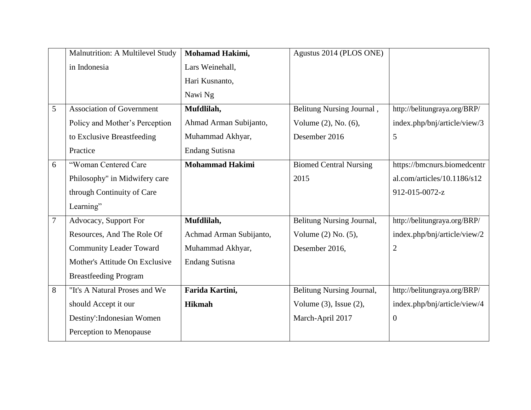|                | Malnutrition: A Multilevel Study | Mohamad Hakimi,         | Agustus 2014 (PLOS ONE)       |                              |
|----------------|----------------------------------|-------------------------|-------------------------------|------------------------------|
|                | in Indonesia                     | Lars Weinehall,         |                               |                              |
|                |                                  | Hari Kusnanto,          |                               |                              |
|                |                                  | Nawi Ng                 |                               |                              |
| 5              | <b>Association of Government</b> | Mufdlilah,              | Belitung Nursing Journal,     | http://belitungraya.org/BRP/ |
|                | Policy and Mother's Perception   | Ahmad Arman Subijanto,  | Volume (2), No. (6),          | index.php/bnj/article/view/3 |
|                | to Exclusive Breastfeeding       | Muhammad Akhyar,        | Desember 2016                 | 5                            |
|                | Practice                         | <b>Endang Sutisna</b>   |                               |                              |
| 6              | "Woman Centered Care             | <b>Mohammad Hakimi</b>  | <b>Biomed Central Nursing</b> | https://bmcnurs.biomedcentr  |
|                | Philosophy" in Midwifery care    |                         | 2015                          | al.com/articles/10.1186/s12  |
|                | through Continuity of Care       |                         |                               | 912-015-0072-z               |
|                | Learning"                        |                         |                               |                              |
| $\overline{7}$ | Advocacy, Support For            | Mufdlilah,              | Belitung Nursing Journal,     | http://belitungraya.org/BRP/ |
|                | Resources, And The Role Of       | Achmad Arman Subijanto, | Volume (2) No. (5),           | index.php/bnj/article/view/2 |
|                | <b>Community Leader Toward</b>   | Muhammad Akhyar,        | Desember 2016,                | $\overline{2}$               |
|                | Mother's Attitude On Exclusive   | <b>Endang Sutisna</b>   |                               |                              |
|                | <b>Breastfeeding Program</b>     |                         |                               |                              |
| 8              | "It's A Natural Proses and We    | Farida Kartini,         | Belitung Nursing Journal,     | http://belitungraya.org/BRP/ |
|                | should Accept it our             | <b>Hikmah</b>           | Volume $(3)$ , Issue $(2)$ ,  | index.php/bnj/article/view/4 |
|                | Destiny': Indonesian Women       |                         | March-April 2017              | $\overline{0}$               |
|                | Perception to Menopause          |                         |                               |                              |